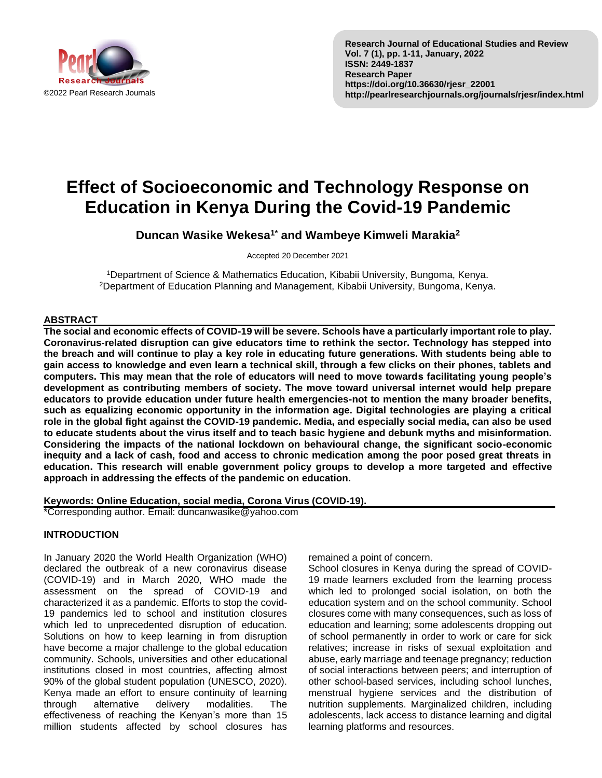

# **Effect of Socioeconomic and Technology Response on Education in Kenya During the Covid-19 Pandemic**

**Duncan Wasike Wekesa1\* and Wambeye Kimweli Marakia<sup>2</sup>**

Accepted 20 December 2021

<sup>1</sup>Department of Science & Mathematics Education, Kibabii University, Bungoma, Kenya. <sup>2</sup>Department of Education Planning and Management, Kibabii University, Bungoma, Kenya.

## **ABSTRACT**

**The social and economic effects of COVID-19 will be severe. Schools have a particularly important role to play. Coronavirus-related disruption can give educators time to rethink the sector. Technology has stepped into the breach and will continue to play a key role in educating future generations. With students being able to gain access to knowledge and even learn a technical skill, through a few clicks on their phones, tablets and computers. This may mean that the role of educators will need to move towards facilitating young people's development as contributing members of society. The move toward universal internet would help prepare educators to provide education under future health emergencies-not to mention the many broader benefits, such as equalizing economic opportunity in the information age. Digital technologies are playing a critical role in the global fight against the COVID-19 pandemic. Media, and especially social media, can also be used to educate students about the virus itself and to teach basic hygiene and debunk myths and misinformation. Considering the impacts of the national lockdown on behavioural change, the significant socio-economic inequity and a lack of cash, food and access to chronic medication among the poor posed great threats in education. This research will enable government policy groups to develop a more targeted and effective approach in addressing the effects of the pandemic on education.**

**Keywords: Online Education, social media, Corona Virus (COVID-19).**

\*Corresponding author. Email: duncanwasike@yahoo.com

# **INTRODUCTION**

In January 2020 the World Health Organization (WHO) declared the outbreak of a new coronavirus disease (COVID-19) and in March 2020, WHO made the assessment on the spread of COVID-19 and characterized it as a pandemic. Efforts to stop the covid-19 pandemics led to school and institution closures which led to unprecedented disruption of education. Solutions on how to keep learning in from disruption have become a major challenge to the global education community. Schools, universities and other educational institutions closed in most countries, affecting almost 90% of the global student population (UNESCO, 2020). Kenya made an effort to ensure continuity of learning through alternative delivery modalities. The effectiveness of reaching the Kenyan's more than 15 million students affected by school closures has remained a point of concern.

School closures in Kenya during the spread of COVID-19 made learners excluded from the learning process which led to prolonged social isolation, on both the education system and on the school community. School closures come with many consequences, such as loss of education and learning; some adolescents dropping out of school permanently in order to work or care for sick relatives; increase in risks of sexual exploitation and abuse, early marriage and teenage pregnancy; reduction of social interactions between peers; and interruption of other school-based services, including school lunches, menstrual hygiene services and the distribution of nutrition supplements. Marginalized children, including adolescents, lack access to distance learning and digital learning platforms and resources.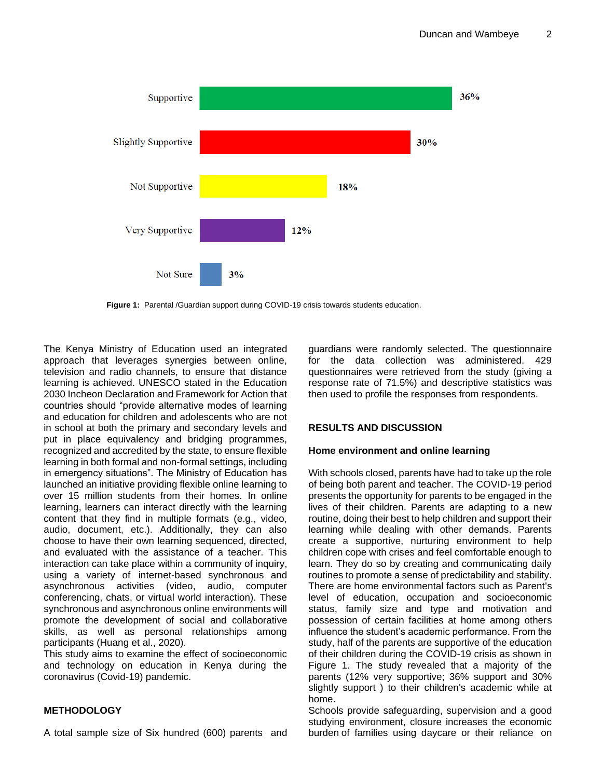

**Figure 1:** Parental /Guardian support during COVID-19 crisis towards students education.

The Kenya Ministry of Education used an integrated approach that leverages synergies between online, television and radio channels, to ensure that distance learning is achieved. UNESCO stated in the Education 2030 Incheon Declaration and Framework for Action that countries should "provide alternative modes of learning and education for children and adolescents who are not in school at both the primary and secondary levels and put in place equivalency and bridging programmes, recognized and accredited by the state, to ensure flexible learning in both formal and non-formal settings, including in emergency situations". The Ministry of Education has launched an initiative providing flexible online learning to over 15 million students from their homes. In online learning, learners can interact directly with the learning content that they find in multiple formats (e.g., video, audio, document, etc.). Additionally, they can also choose to have their own learning sequenced, directed, and evaluated with the assistance of a teacher. This interaction can take place within a community of inquiry, using a variety of internet-based synchronous and asynchronous activities (video, audio, computer conferencing, chats, or virtual world interaction). These synchronous and asynchronous online environments will promote the development of social and collaborative skills, as well as personal relationships among participants (Huang et al., 2020).

This study aims to examine the effect of socioeconomic and technology on education in Kenya during the coronavirus (Covid-19) pandemic.

## **METHODOLOGY**

A total sample size of Six hundred (600) parents and

guardians were randomly selected. The questionnaire for the data collection was administered. 429 questionnaires were retrieved from the study (giving a response rate of 71.5%) and descriptive statistics was then used to profile the responses from respondents.

## **RESULTS AND DISCUSSION**

#### **Home environment and online learning**

With schools closed, parents have had to take up the role of being both parent and teacher. The COVID-19 period presents the opportunity for parents to be engaged in the lives of their children. Parents are adapting to a new routine, doing their best to help children and support their learning while dealing with other demands. Parents create a supportive, nurturing environment to help children cope with crises and feel comfortable enough to learn. They do so by creating and communicating daily routines to promote a sense of predictability and stability. There are home environmental factors such as Parent's level of education, occupation and socioeconomic status, family size and type and motivation and possession of certain facilities at home among others influence the student's academic performance. From the study, half of the parents are supportive of the education of their children during the COVID-19 crisis as shown in Figure 1. The study revealed that a majority of the parents (12% very supportive; 36% support and 30% slightly support ) to their children's academic while at home.

Schools provide safeguarding, supervision and a good studying environment, closure increases the economic burden of families using daycare or their reliance on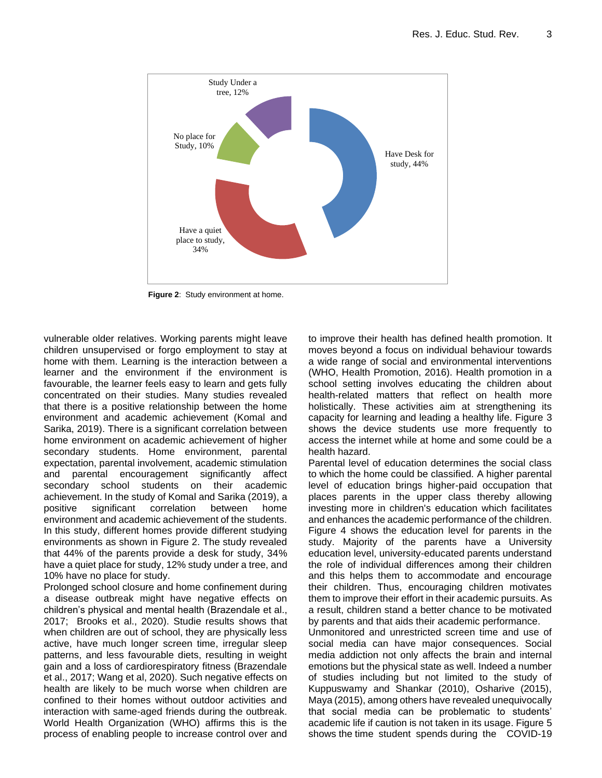

**Figure 2**: Study environment at home.

vulnerable older relatives. Working parents might leave children unsupervised or forgo employment to stay at home with them. Learning is the interaction between a learner and the environment if the environment is favourable, the learner feels easy to learn and gets fully concentrated on their studies. Many studies revealed that there is a positive relationship between the home environment and academic achievement (Komal and Sarika, 2019). There is a significant correlation between home environment on academic achievement of higher secondary students. Home environment, parental expectation, parental involvement, academic stimulation and parental encouragement significantly affect secondary school students on their academic achievement. In the study of Komal and Sarika (2019), a positive significant correlation between home environment and academic achievement of the students. In this study, different homes provide different studying environments as shown in Figure 2. The study revealed that 44% of the parents provide a desk for study, 34% have a quiet place for study, 12% study under a tree, and 10% have no place for study.

Prolonged school closure and home confinement during a disease outbreak might have negative effects on children's physical and mental health (Brazendale et al., 2017; Brooks et al., 2020). Studie results shows that when children are out of school, they are physically less active, have much longer screen time, irregular sleep patterns, and less favourable diets, resulting in weight gain and a loss of cardiorespiratory fitness (Brazendale et al., 2017; Wang et al, 2020). Such negative effects on health are likely to be much worse when children are confined to their homes without outdoor activities and interaction with same-aged friends during the outbreak. World Health Organization (WHO) affirms this is the process of enabling people to increase control over and to improve their health has defined health promotion. It moves beyond a focus on individual behaviour towards a wide range of social and environmental interventions (WHO, Health Promotion, 2016). Health promotion in a school setting involves educating the children about health-related matters that reflect on health more holistically. These activities aim at strengthening its capacity for learning and leading a healthy life. Figure 3 shows the device students use more frequently to access the internet while at home and some could be a health hazard.

Parental level of education determines the social class to which the home could be classified. A higher parental level of education brings higher-paid occupation that places parents in the upper class thereby allowing investing more in children's education which facilitates and enhances the academic performance of the children. Figure 4 shows the education level for parents in the study. Majority of the parents have a University education level, university-educated parents understand the role of individual differences among their children and this helps them to accommodate and encourage their children. Thus, encouraging children motivates them to improve their effort in their academic pursuits. As a result, children stand a better chance to be motivated by parents and that aids their academic performance. Unmonitored and unrestricted screen time and use of social media can have major consequences. Social media addiction not only affects the brain and internal emotions but the physical state as well. Indeed a number of studies including but not limited to the study of Kuppuswamy and Shankar (2010), Osharive (2015), Maya (2015), among others have revealed unequivocally

that social media can be problematic to students' academic life if caution is not taken in its usage. Figure 5 shows the time student spends during the COVID-19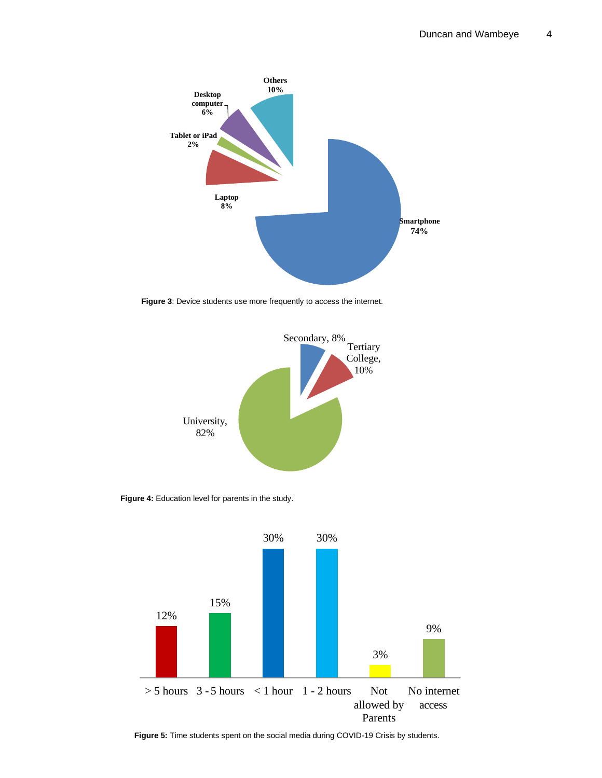

**Figure 3**: Device students use more frequently to access the internet.



Figure 4: Education level for parents in the study.



**Figure 5:** Time students spent on the social media during COVID-19 Crisis by students.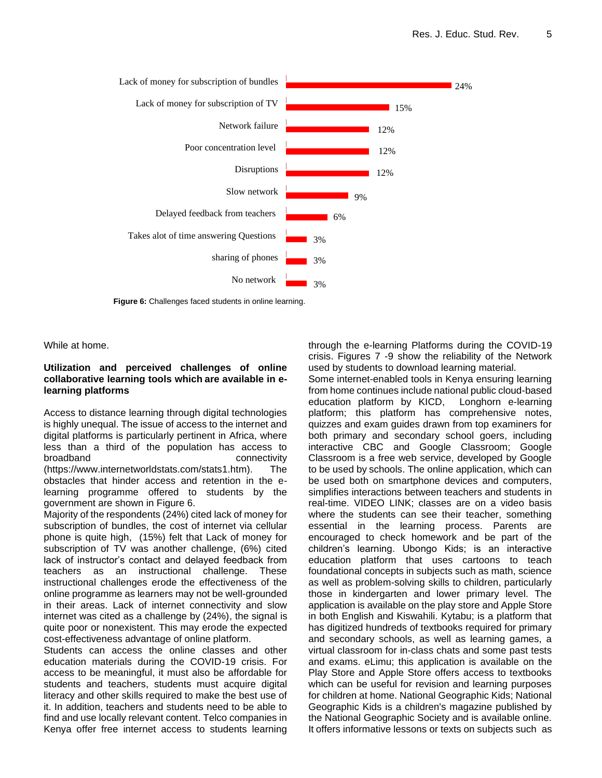

**Figure 6:** Challenges faced students in online learning.

While at home.

## **Utilization and perceived challenges of online collaborative learning tools which are available in elearning platforms**

Access to distance learning through digital technologies is highly unequal. The issue of access to the internet and digital platforms is particularly pertinent in Africa, where less than a third of the population has access to broadband connectivity (https://www.internetworldstats.com/stats1.htm). The obstacles that hinder access and retention in the elearning programme offered to students by the government are shown in Figure 6.

Majority of the respondents (24%) cited lack of money for subscription of bundles, the cost of internet via cellular phone is quite high, (15%) felt that Lack of money for subscription of TV was another challenge, (6%) cited lack of instructor's contact and delayed feedback from teachers as an instructional challenge. These instructional challenges erode the effectiveness of the online programme as learners may not be well-grounded in their areas. Lack of internet connectivity and slow internet was cited as a challenge by (24%), the signal is quite poor or nonexistent. This may erode the expected cost-effectiveness advantage of online platform.

Students can access the online classes and other education materials during the COVID-19 crisis. For access to be meaningful, it must also be affordable for students and teachers, students must acquire digital literacy and other skills required to make the best use of it. In addition, teachers and students need to be able to find and use locally relevant content. Telco companies in Kenya offer free internet access to students learning through the e-learning Platforms during the COVID-19 crisis. Figures 7 -9 show the reliability of the Network used by students to download learning material.

Some internet-enabled tools in Kenya ensuring learning from home continues include national public cloud-based education platform by KICD, Longhorn e-learning platform; this platform has comprehensive notes, quizzes and exam guides drawn from top examiners for both primary and secondary school goers, including interactive CBC and Google Classroom; Google Classroom is a free web service, developed by Google to be used by schools. The online application, which can be used both on smartphone devices and computers, simplifies interactions between teachers and students in real-time. VIDEO LINK; classes are on a video basis where the students can see their teacher, something essential in the learning process. Parents are encouraged to check homework and be part of the children's learning. Ubongo Kids; is an interactive education platform that uses cartoons to teach foundational concepts in subjects such as math, science as well as problem-solving skills to children, particularly those in kindergarten and lower primary level. The application is available on the play store and Apple Store in both English and Kiswahili. Kytabu; is a platform that has digitized hundreds of textbooks required for primary and secondary schools, as well as learning games, a virtual classroom for in-class chats and some past tests and exams. eLimu; this application is available on the Play Store and Apple Store offers access to textbooks which can be useful for revision and learning purposes for children at home. National Geographic Kids; National Geographic Kids is a children's magazine published by the National Geographic Society and is available online. It offers informative lessons or texts on subjects such as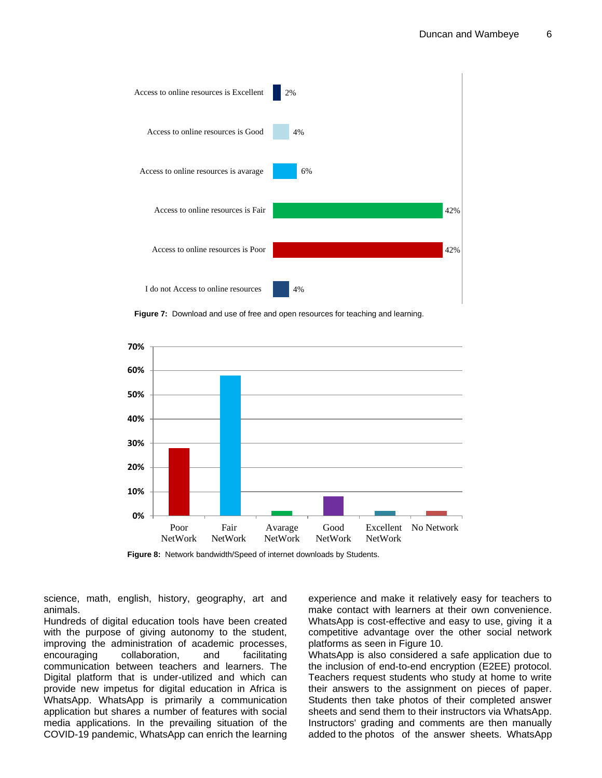

**Figure 7:** Download and use of free and open resources for teaching and learning.



**Figure 8:** Network bandwidth/Speed of internet downloads by Students.

science, math, english, history, geography, art and animals.

Hundreds of digital education tools have been created with the purpose of giving autonomy to the student, improving the administration of academic processes, encouraging collaboration, and facilitating communication between teachers and learners. The Digital platform that is under-utilized and which can provide new impetus for digital education in Africa is WhatsApp. WhatsApp is primarily a communication application but shares a number of features with social media applications. In the prevailing situation of the COVID-19 pandemic, WhatsApp can enrich the learning

experience and make it relatively easy for teachers to make contact with learners at their own convenience. WhatsApp is cost-effective and easy to use, giving it a competitive advantage over the other social network platforms as seen in Figure 10.

WhatsApp is also considered a safe application due to the inclusion of end-to-end encryption (E2EE) protocol. Teachers request students who study at home to write their answers to the assignment on pieces of paper. Students then take photos of their completed answer sheets and send them to their instructors via WhatsApp. Instructors' grading and comments are then manually added to the photos of the answer sheets. WhatsApp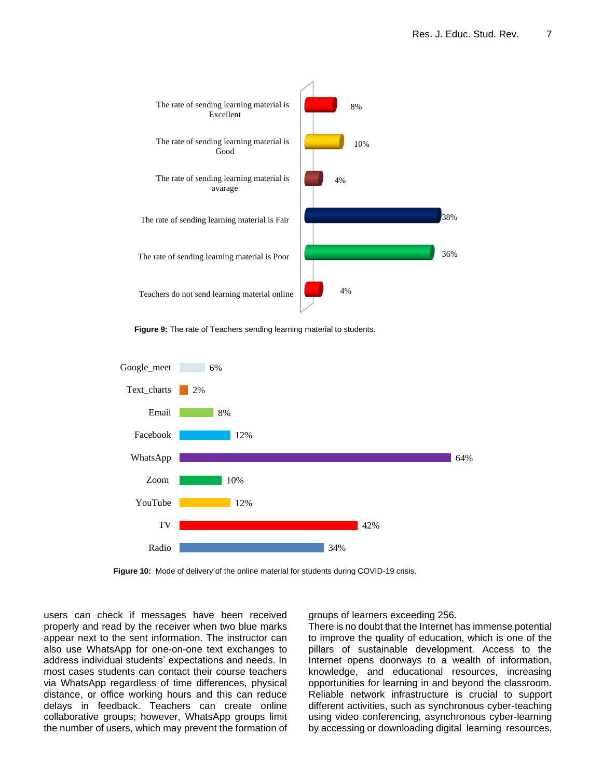

**Figure 9:** The rate of Teachers sending learning material to students.



**Figure 10:** Mode of delivery of the online material for students during COVID-19 crisis.

users can check if messages have been received properly and read by the receiver when two blue marks appear next to the sent information. The instructor can also use WhatsApp for one-on-one text exchanges to address individual students' expectations and needs. In most cases students can contact their course teachers via WhatsApp regardless of time differences, physical distance, or office working hours and this can reduce delays in feedback. Teachers can create online collaborative groups; however, WhatsApp groups limit the number of users, which may prevent the formation of groups of learners exceeding 256.

There is no doubt that the Internet has immense potential to improve the quality of education, which is one of the pillars of sustainable development. Access to the Internet opens doorways to a wealth of information, knowledge, and educational resources, increasing opportunities for learning in and beyond the classroom. Reliable network infrastructure is crucial to support different activities, such as synchronous cyber-teaching using video conferencing, asynchronous cyber-learning by accessing or downloading digital learning resources,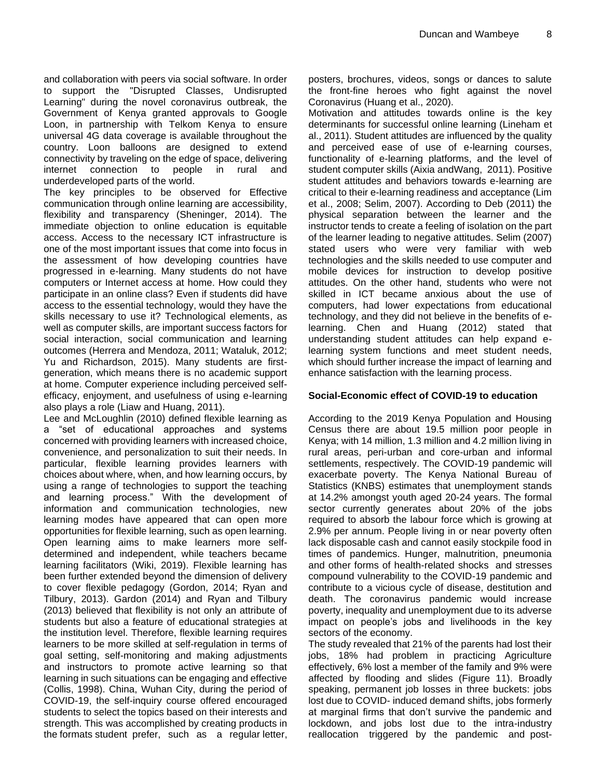and collaboration with peers via social software. In order to support the "Disrupted Classes, Undisrupted Learning" during the novel coronavirus outbreak, the Government of Kenya granted approvals to Google Loon, in partnership with Telkom Kenya to ensure universal 4G data coverage is available throughout the country. Loon balloons are designed to extend connectivity by traveling on the edge of space, delivering internet connection to people in rural and underdeveloped parts of the world.

The key principles to be observed for Effective communication through online learning are accessibility, flexibility and transparency (Sheninger, 2014). The immediate objection to online education is equitable access. Access to the necessary ICT infrastructure is one of the most important issues that come into focus in the assessment of how developing countries have progressed in e-learning. Many students do not have computers or Internet access at home. How could they participate in an online class? Even if students did have access to the essential technology, would they have the skills necessary to use it? Technological elements, as well as computer skills, are important success factors for social interaction, social communication and learning outcomes (Herrera and Mendoza, 2011; Wataluk, 2012; Yu and Richardson, 2015). Many students are firstgeneration, which means there is no academic support at home. Computer experience including perceived selfefficacy, enjoyment, and usefulness of using e-learning also plays a role (Liaw and Huang, 2011).

Lee and McLoughlin (2010) defined flexible learning as a "set of educational approaches and systems concerned with providing learners with increased choice, convenience, and personalization to suit their needs. In particular, flexible learning provides learners with choices about where, when, and how learning occurs, by using a range of technologies to support the teaching and learning process." With the development of information and communication technologies, new learning modes have appeared that can open more opportunities for flexible learning, such as open learning. Open learning aims to make learners more selfdetermined and independent, while teachers became learning facilitators (Wiki, 2019). Flexible learning has been further extended beyond the dimension of delivery to cover flexible pedagogy (Gordon, 2014; Ryan and Tilbury, 2013). Gardon (2014) and Ryan and Tilbury (2013) believed that flexibility is not only an attribute of students but also a feature of educational strategies at the institution level. Therefore, flexible learning requires learners to be more skilled at self-regulation in terms of goal setting, self-monitoring and making adjustments and instructors to promote active learning so that learning in such situations can be engaging and effective (Collis, 1998). China, Wuhan City, during the period of COVID-19, the self-inquiry course offered encouraged students to select the topics based on their interests and strength. This was accomplished by creating products in the formats student prefer, such as a regular letter, posters, brochures, videos, songs or dances to salute the front-fine heroes who fight against the novel Coronavirus (Huang et al., 2020).

Motivation and attitudes towards online is the key determinants for successful online learning (Lineham et al., 2011). Student attitudes are influenced by the quality and perceived ease of use of e-learning courses, functionality of e-learning platforms, and the level of student computer skills (Aixia andWang, 2011). Positive student attitudes and behaviors towards e-learning are critical to their e-learning readiness and acceptance (Lim et al., 2008; Selim, 2007). According to Deb (2011) the physical separation between the learner and the instructor tends to create a feeling of isolation on the part of the learner leading to negative attitudes. Selim (2007) stated users who were very familiar with web technologies and the skills needed to use computer and mobile devices for instruction to develop positive attitudes. On the other hand, students who were not skilled in ICT became anxious about the use of computers, had lower expectations from educational technology, and they did not believe in the benefits of elearning. Chen and Huang (2012) stated that understanding student attitudes can help expand elearning system functions and meet student needs, which should further increase the impact of learning and enhance satisfaction with the learning process.

## **Social-Economic effect of COVID-19 to education**

According to the 2019 Kenya Population and Housing Census there are about 19.5 million poor people in Kenya; with 14 million, 1.3 million and 4.2 million living in rural areas, peri-urban and core-urban and informal settlements, respectively. The COVID-19 pandemic will exacerbate poverty. The Kenya National Bureau of Statistics (KNBS) estimates that unemployment stands at 14.2% amongst youth aged 20-24 years. The formal sector currently generates about 20% of the jobs required to absorb the labour force which is growing at 2.9% per annum. People living in or near poverty often lack disposable cash and cannot easily stockpile food in times of pandemics. Hunger, malnutrition, pneumonia and other forms of health-related shocks and stresses compound vulnerability to the COVID-19 pandemic and contribute to a vicious cycle of disease, destitution and death. The coronavirus pandemic would increase poverty, inequality and unemployment due to its adverse impact on people's jobs and livelihoods in the key sectors of the economy.

The study revealed that 21% of the parents had lost their jobs, 18% had problem in practicing Agriculture effectively, 6% lost a member of the family and 9% were affected by flooding and slides (Figure 11). Broadly speaking, permanent job losses in three buckets: jobs lost due to COVID- induced demand shifts, jobs formerly at marginal firms that don't survive the pandemic and lockdown, and jobs lost due to the intra-industry reallocation triggered by the pandemic and post-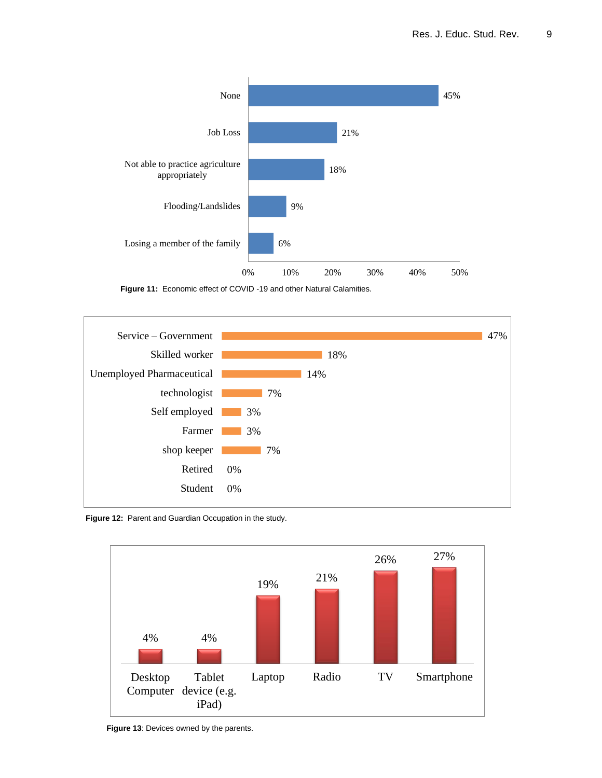

**Figure 11:** Economic effect of COVID -19 and other Natural Calamities.



**Figure 12:** Parent and Guardian Occupation in the study.



**Figure 13**: Devices owned by the parents.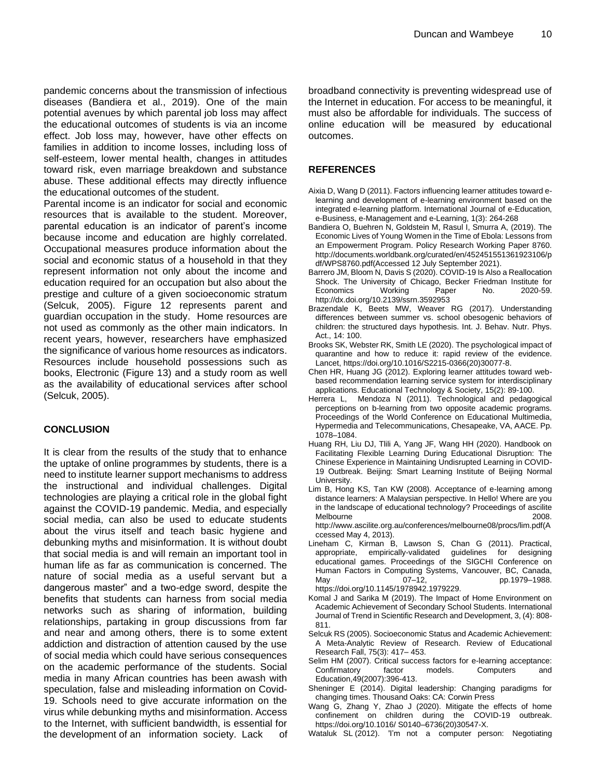pandemic concerns about the transmission of infectious diseases (Bandiera et al., 2019). One of the main potential avenues by which parental job loss may affect the educational outcomes of students is via an income effect. Job loss may, however, have other effects on families in addition to income losses, including loss of self-esteem, lower mental health, changes in attitudes toward risk, even marriage breakdown and substance abuse. These additional effects may directly influence the educational outcomes of the student.

Parental income is an indicator for social and economic resources that is available to the student. Moreover, parental education is an indicator of parent's income because income and education are highly correlated. Occupational measures produce information about the social and economic status of a household in that they represent information not only about the income and education required for an occupation but also about the prestige and culture of a given socioeconomic stratum (Selcuk, 2005). Figure 12 represents parent and guardian occupation in the study. Home resources are not used as commonly as the other main indicators. In recent years, however, researchers have emphasized the significance of various home resources as indicators. Resources include household possessions such as books, Electronic (Figure 13) and a study room as well as the availability of educational services after school (Selcuk, 2005).

## **CONCLUSION**

It is clear from the results of the study that to enhance the uptake of online programmes by students, there is a need to institute learner support mechanisms to address the instructional and individual challenges. Digital technologies are playing a critical role in the global fight against the COVID-19 pandemic. Media, and especially social media, can also be used to educate students about the virus itself and teach basic hygiene and debunking myths and misinformation. It is without doubt that social media is and will remain an important tool in human life as far as communication is concerned. The nature of social media as a useful servant but a dangerous master" and a two-edge sword, despite the benefits that students can harness from social media networks such as sharing of information, building relationships, partaking in group discussions from far and near and among others, there is to some extent addiction and distraction of attention caused by the use of social media which could have serious consequences on the academic performance of the students. Social media in many African countries has been awash with speculation, false and misleading information on Covid-19. Schools need to give accurate information on the virus while debunking myths and misinformation. Access to the Internet, with sufficient bandwidth, is essential for the development of an information society. Lack of broadband connectivity is preventing widespread use of the Internet in education. For access to be meaningful, it must also be affordable for individuals. The success of online education will be measured by educational outcomes.

## **REFERENCES**

- Aixia D, Wang D (2011). Factors influencing learner attitudes toward elearning and development of e-learning environment based on the integrated e-learning platform. International Journal of e-Education, e-Business, e-Management and e-Learning, 1(3): 264-268
- Bandiera O, Buehren N, Goldstein M, Rasul I, Smurra A, (2019). The Economic Lives of Young Women in the Time of Ebola: Lessons from an Empowerment Program. Policy Research Working Paper 8760. http://documents.worldbank.org/curated/en/452451551361923106/p df/WPS8760.pdf(Accessed 12 July September 2021).
- Barrero JM, Bloom N, Davis S (2020). COVID-19 Is Also a Reallocation Shock. The University of Chicago, Becker Friedman Institute for Economics http://dx.doi.org/10.2139/ssrn.3592953
- Brazendale K, Beets MW, Weaver RG (2017). Understanding differences between summer vs. school obesogenic behaviors of children: the structured days hypothesis. Int. J. Behav. Nutr. Phys. Act., 14: 100.
- Brooks SK, Webster RK, Smith LE (2020). The psychological impact of quarantine and how to reduce it: rapid review of the evidence. Lancet, https://doi.org/10.1016/S2215-0366(20)30077-8.
- Chen HR, Huang JG (2012). Exploring learner attitudes toward webbased recommendation learning service system for interdisciplinary applications. Educational Technology & Society, 15(2): 89-100.
- Herrera L, Mendoza N (2011). Technological and pedagogical perceptions on b-learning from two opposite academic programs. Proceedings of the World Conference on Educational Multimedia, Hypermedia and Telecommunications, Chesapeake, VA, AACE. Pp. 1078–1084.
- Huang RH, Liu DJ, Tlili A, Yang JF, Wang HH (2020). Handbook on Facilitating Flexible Learning During Educational Disruption: The Chinese Experience in Maintaining Undisrupted Learning in COVID-19 Outbreak. Beijing: Smart Learning Institute of Beijing Normal University.
- Lim B, Hong KS, Tan KW (2008). Acceptance of e-learning among distance learners: A Malaysian perspective. In Hello! Where are you in the landscape of educational technology? Proceedings of ascilite Melbourne 2008. http://www.ascilite.org.au/conferences/melbourne08/procs/lim.pdf(A ccessed May 4, 2013).
- Lineham C, Kirman B, Lawson S, Chan G (2011). Practical, appropriate, empirically-validated guidelines for designing educational games. Proceedings of the SIGCHI Conference on Human Factors in Computing Systems, Vancouver, BC, Canada, May 07–12, pp.1979–1988. https://doi.org/10.1145/1978942.1979229.
- Komal J and Sarika M (2019). The Impact of Home Environment on Academic Achievement of Secondary School Students. International Journal of Trend in Scientific Research and Development, 3, (4): 808- 811.
- Selcuk RS (2005). Socioeconomic Status and Academic Achievement: A Meta-Analytic Review of Research. Review of Educational Research Fall, 75(3): 417– 453.
- Selim HM (2007). Critical success factors for e-learning acceptance: Confirmatory factor models. Computers and Education,49(2007):396-413.
- Sheninger E (2014). Digital leadership: Changing paradigms for changing times. Thousand Oaks: CA: Corwin Press
- Wang G, Zhang Y, Zhao J (2020). Mitigate the effects of home confinement on children during the COVID-19 outbreak. https://doi.org/10.1016/ S0140–6736(20)30547-X.
- Wataluk SL (2012). 'I'm not a computer person: Negotiating